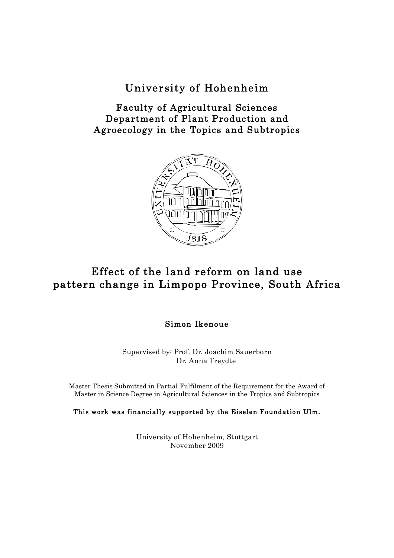## University of Hohenheim

Faculty of Agricultural Sciences Department of Plant Production and Agroecology in the Topics and Subtropics



## Effect of the land reform on land use pattern change in Limpopo Province, South Africa

## Simon Ikenoue

Supervised by: Prof. Dr. Joachim Sauerborn Dr. Anna Treydte

Master Thesis Submitted in Partial Fulfilment of the Requirement for the Award of Master in Science Degree in Agricultural Sciences in the Tropics and Subtropics

This work was financially supported by the Eiselen Foundation Ulm.

University of Hohenheim, Stuttgart November 2009